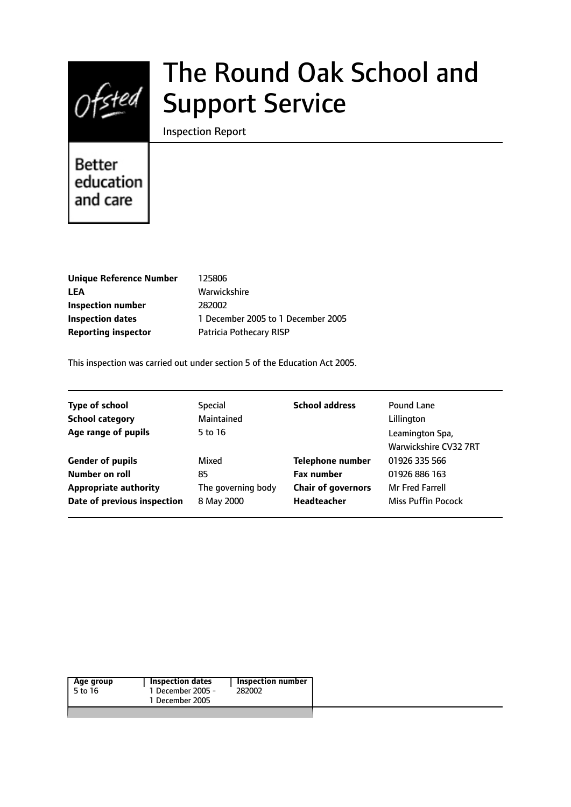

# The Round Oak School and Support Service

Inspection Report

# **Better** education and care

| <b>Unique Reference Number</b> |   |
|--------------------------------|---|
| LEA                            | Ι |
| Inspection number              |   |
| <b>Inspection dates</b>        |   |
| <b>Reporting inspector</b>     |   |

**Unique Reference Number** 125806 **LEA** Warwickshire **Inspection number** 282002 **Inspection dates** 1 December 2005 to 1 December 2005 **Patricia Pothecary RISP** 

This inspection was carried out under section 5 of the Education Act 2005.

| <b>Type of school</b>        | <b>Special</b>     | <b>School address</b>     | Pound Lane                               |
|------------------------------|--------------------|---------------------------|------------------------------------------|
| <b>School category</b>       | Maintained         |                           | Lillington                               |
| Age range of pupils          | 5 to 16            |                           | Leamington Spa,<br>Warwickshire CV32 7RT |
| <b>Gender of pupils</b>      | Mixed              | <b>Telephone number</b>   | 01926 335 566                            |
| Number on roll               | 85                 | <b>Fax number</b>         | 01926 886 163                            |
| <b>Appropriate authority</b> | The governing body | <b>Chair of governors</b> | <b>Mr Fred Farrell</b>                   |
| Date of previous inspection  | 8 May 2000         | <b>Headteacher</b>        | <b>Miss Puffin Pocock</b>                |

| 1 December 2005 | 1 December 2005 -<br>5 to 16<br>282002 | <b>Inspection dates</b><br>Inspection number<br>Age group |  |  |  |
|-----------------|----------------------------------------|-----------------------------------------------------------|--|--|--|
|-----------------|----------------------------------------|-----------------------------------------------------------|--|--|--|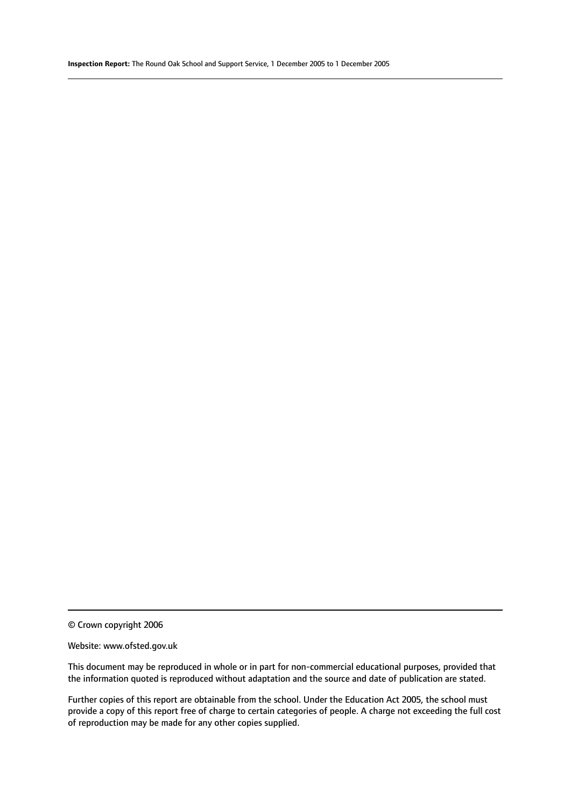© Crown copyright 2006

#### Website: www.ofsted.gov.uk

This document may be reproduced in whole or in part for non-commercial educational purposes, provided that the information quoted is reproduced without adaptation and the source and date of publication are stated.

Further copies of this report are obtainable from the school. Under the Education Act 2005, the school must provide a copy of this report free of charge to certain categories of people. A charge not exceeding the full cost of reproduction may be made for any other copies supplied.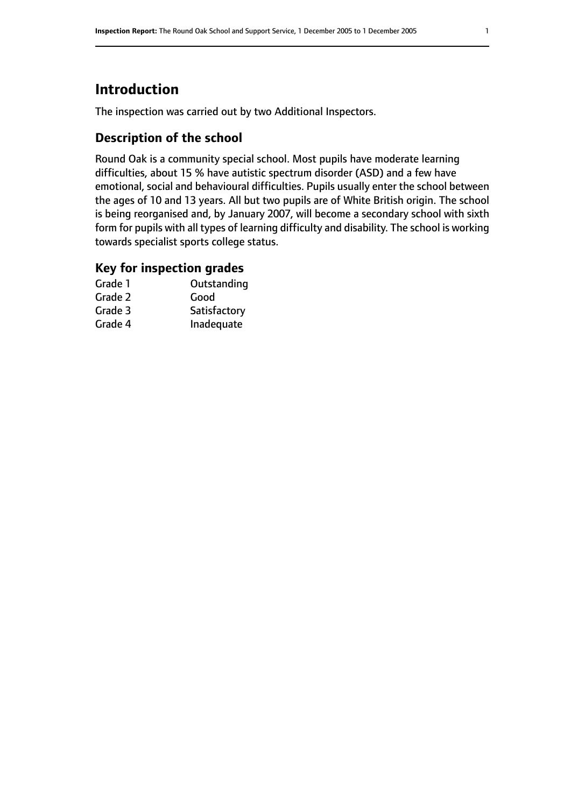# **Introduction**

The inspection was carried out by two Additional Inspectors.

# **Description of the school**

Round Oak is a community special school. Most pupils have moderate learning difficulties, about 15 % have autistic spectrum disorder (ASD) and a few have emotional, social and behavioural difficulties. Pupils usually enter the school between the ages of 10 and 13 years. All but two pupils are of White British origin. The school is being reorganised and, by January 2007, will become a secondary school with sixth form for pupils with all types of learning difficulty and disability. The school is working towards specialist sports college status.

## **Key for inspection grades**

| Grade 1 | Outstanding  |
|---------|--------------|
| Grade 2 | Good         |
| Grade 3 | Satisfactory |
| Grade 4 | Inadequate   |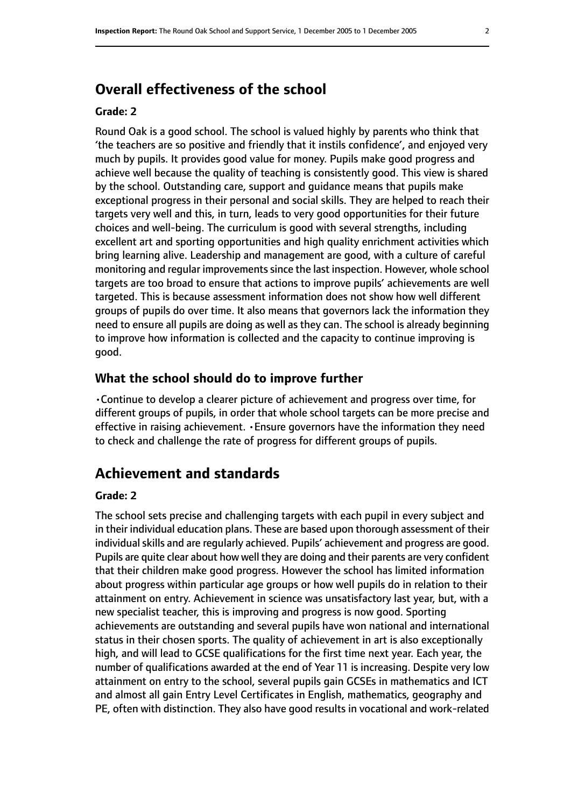# **Overall effectiveness of the school**

#### **Grade: 2**

Round Oak is a good school. The school is valued highly by parents who think that 'the teachers are so positive and friendly that it instils confidence', and enjoyed very much by pupils. It provides good value for money. Pupils make good progress and achieve well because the quality of teaching is consistently good. This view is shared by the school. Outstanding care, support and guidance means that pupils make exceptional progress in their personal and social skills. They are helped to reach their targets very well and this, in turn, leads to very good opportunities for their future choices and well-being. The curriculum is good with several strengths, including excellent art and sporting opportunities and high quality enrichment activities which bring learning alive. Leadership and management are good, with a culture of careful monitoring and regular improvements since the last inspection. However, whole school targets are too broad to ensure that actions to improve pupils' achievements are well targeted. This is because assessment information does not show how well different groups of pupils do over time. It also means that governors lack the information they need to ensure all pupils are doing as well as they can. The school is already beginning to improve how information is collected and the capacity to continue improving is good.

#### **What the school should do to improve further**

•Continue to develop a clearer picture of achievement and progress over time, for different groups of pupils, in order that whole school targets can be more precise and effective in raising achievement. •Ensure governors have the information they need to check and challenge the rate of progress for different groups of pupils.

# **Achievement and standards**

#### **Grade: 2**

The school sets precise and challenging targets with each pupil in every subject and in their individual education plans. These are based upon thorough assessment of their individual skills and are regularly achieved. Pupils' achievement and progress are good. Pupils are quite clear about how well they are doing and their parents are very confident that their children make good progress. However the school has limited information about progress within particular age groups or how well pupils do in relation to their attainment on entry. Achievement in science was unsatisfactory last year, but, with a new specialist teacher, this is improving and progress is now good. Sporting achievements are outstanding and several pupils have won national and international status in their chosen sports. The quality of achievement in art is also exceptionally high, and will lead to GCSE qualifications for the first time next year. Each year, the number of qualifications awarded at the end of Year 11 is increasing. Despite very low attainment on entry to the school, several pupils gain GCSEs in mathematics and ICT and almost all gain Entry Level Certificates in English, mathematics, geography and PE, often with distinction. They also have good results in vocational and work-related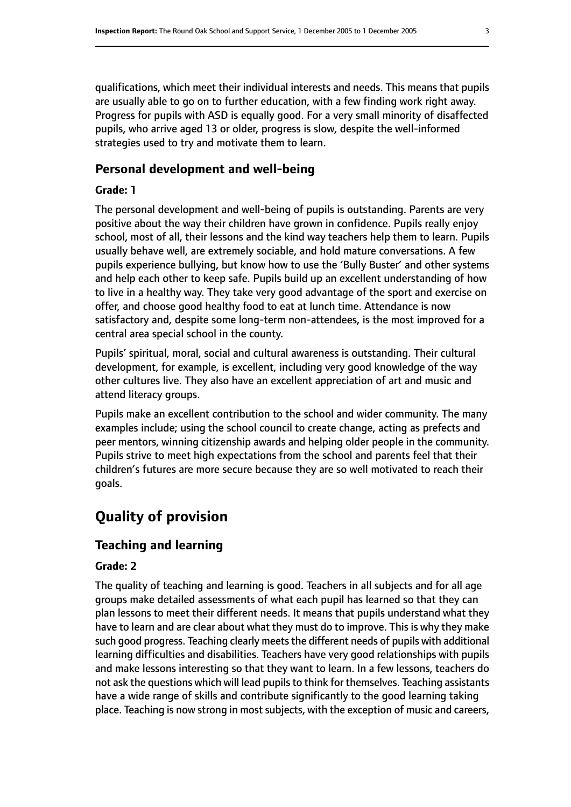qualifications, which meet their individual interests and needs. This means that pupils are usually able to go on to further education, with a few finding work right away. Progress for pupils with ASD is equally good. For a very small minority of disaffected pupils, who arrive aged 13 or older, progress is slow, despite the well-informed strategies used to try and motivate them to learn.

#### **Personal development and well-being**

#### **Grade: 1**

The personal development and well-being of pupils is outstanding. Parents are very positive about the way their children have grown in confidence. Pupils really enjoy school, most of all, their lessons and the kind way teachers help them to learn. Pupils usually behave well, are extremely sociable, and hold mature conversations. A few pupils experience bullying, but know how to use the 'Bully Buster' and other systems and help each other to keep safe. Pupils build up an excellent understanding of how to live in a healthy way. They take very good advantage of the sport and exercise on offer, and choose good healthy food to eat at lunch time. Attendance is now satisfactory and, despite some long-term non-attendees, is the most improved for a central area special school in the county.

Pupils' spiritual, moral, social and cultural awareness is outstanding. Their cultural development, for example, is excellent, including very good knowledge of the way other cultures live. They also have an excellent appreciation of art and music and attend literacy groups.

Pupils make an excellent contribution to the school and wider community. The many examples include; using the school council to create change, acting as prefects and peer mentors, winning citizenship awards and helping older people in the community. Pupils strive to meet high expectations from the school and parents feel that their children's futures are more secure because they are so well motivated to reach their goals.

# **Quality of provision**

#### **Teaching and learning**

#### **Grade: 2**

The quality of teaching and learning is good. Teachers in all subjects and for all age groups make detailed assessments of what each pupil has learned so that they can plan lessons to meet their different needs. It means that pupils understand what they have to learn and are clear about what they must do to improve. This is why they make such good progress. Teaching clearly meets the different needs of pupils with additional learning difficulties and disabilities. Teachers have very good relationships with pupils and make lessons interesting so that they want to learn. In a few lessons, teachers do not ask the questions which will lead pupils to think for themselves. Teaching assistants have a wide range of skills and contribute significantly to the good learning taking place. Teaching is now strong in most subjects, with the exception of music and careers,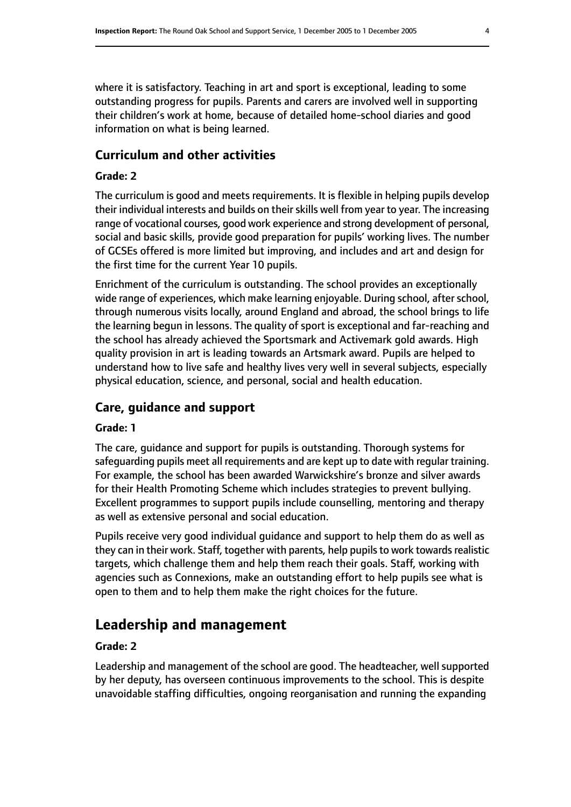where it is satisfactory. Teaching in art and sport is exceptional, leading to some outstanding progress for pupils. Parents and carers are involved well in supporting their children's work at home, because of detailed home-school diaries and good information on what is being learned.

## **Curriculum and other activities**

#### **Grade: 2**

The curriculum is good and meets requirements. It is flexible in helping pupils develop their individual interests and builds on their skills well from year to year. The increasing range of vocational courses, good work experience and strong development of personal, social and basic skills, provide good preparation for pupils' working lives. The number of GCSEs offered is more limited but improving, and includes and art and design for the first time for the current Year 10 pupils.

Enrichment of the curriculum is outstanding. The school provides an exceptionally wide range of experiences, which make learning enjoyable. During school, after school, through numerous visits locally, around England and abroad, the school brings to life the learning begun in lessons. The quality of sport is exceptional and far-reaching and the school has already achieved the Sportsmark and Activemark gold awards. High quality provision in art is leading towards an Artsmark award. Pupils are helped to understand how to live safe and healthy lives very well in several subjects, especially physical education, science, and personal, social and health education.

## **Care, guidance and support**

#### **Grade: 1**

The care, guidance and support for pupils is outstanding. Thorough systems for safeguarding pupils meet all requirements and are kept up to date with regular training. For example, the school has been awarded Warwickshire's bronze and silver awards for their Health Promoting Scheme which includes strategies to prevent bullying. Excellent programmes to support pupils include counselling, mentoring and therapy as well as extensive personal and social education.

Pupils receive very good individual guidance and support to help them do as well as they can in their work. Staff, together with parents, help pupils to work towards realistic targets, which challenge them and help them reach their goals. Staff, working with agencies such as Connexions, make an outstanding effort to help pupils see what is open to them and to help them make the right choices for the future.

# **Leadership and management**

#### **Grade: 2**

Leadership and management of the school are good. The headteacher, well supported by her deputy, has overseen continuous improvements to the school. This is despite unavoidable staffing difficulties, ongoing reorganisation and running the expanding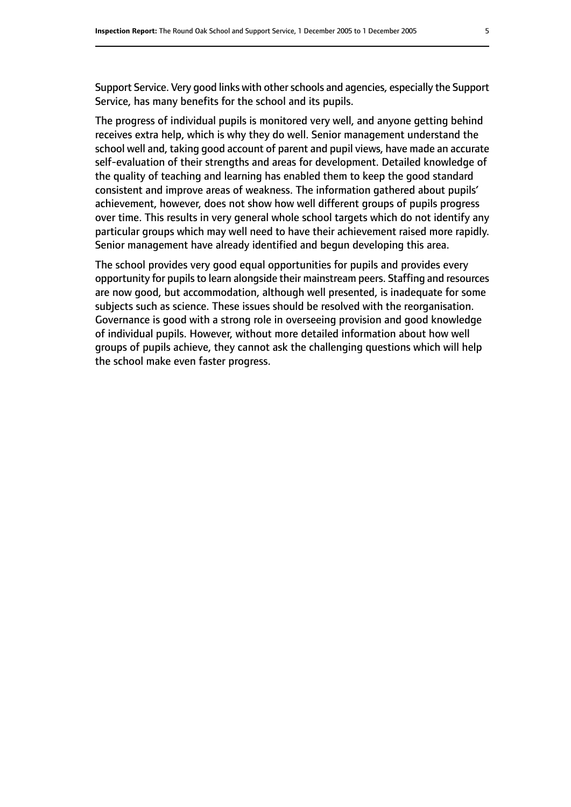Support Service. Very good links with other schools and agencies, especially the Support Service, has many benefits for the school and its pupils.

The progress of individual pupils is monitored very well, and anyone getting behind receives extra help, which is why they do well. Senior management understand the school well and, taking good account of parent and pupil views, have made an accurate self-evaluation of their strengths and areas for development. Detailed knowledge of the quality of teaching and learning has enabled them to keep the good standard consistent and improve areas of weakness. The information gathered about pupils' achievement, however, does not show how well different groups of pupils progress over time. This results in very general whole school targets which do not identify any particular groups which may well need to have their achievement raised more rapidly. Senior management have already identified and begun developing this area.

The school provides very good equal opportunities for pupils and provides every opportunity for pupils to learn alongside their mainstream peers. Staffing and resources are now good, but accommodation, although well presented, is inadequate for some subjects such as science. These issues should be resolved with the reorganisation. Governance is good with a strong role in overseeing provision and good knowledge of individual pupils. However, without more detailed information about how well groups of pupils achieve, they cannot ask the challenging questions which will help the school make even faster progress.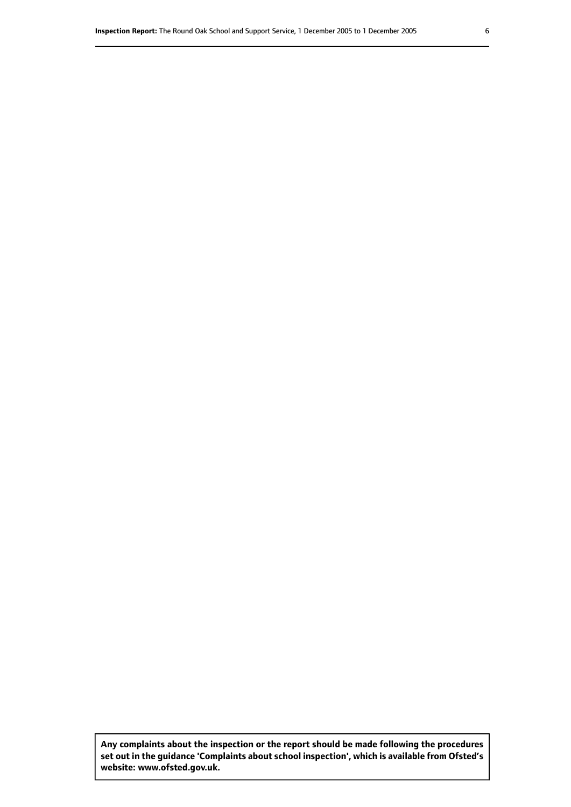**Any complaints about the inspection or the report should be made following the procedures set out inthe guidance 'Complaints about school inspection', whichis available from Ofsted's website: www.ofsted.gov.uk.**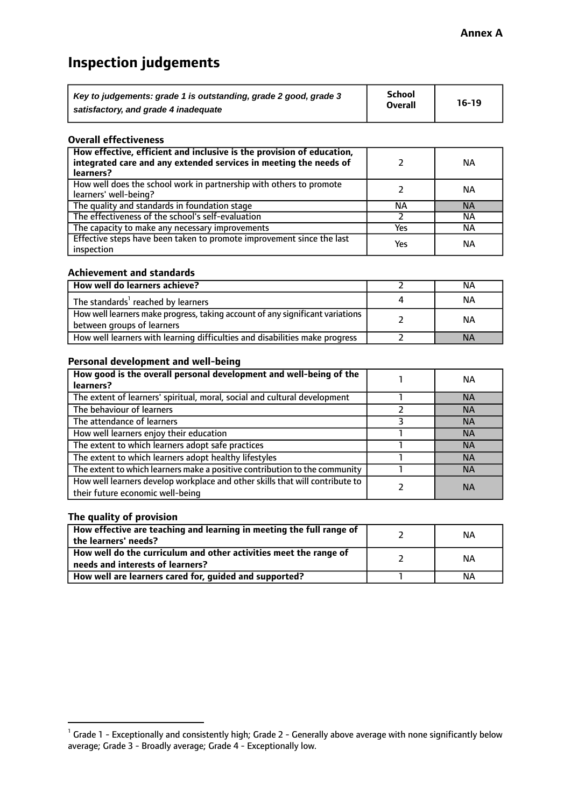# **Inspection judgements**

| Key to judgements: grade 1 is outstanding, grade 2 good, grade 3 | School         | $16-19$ |
|------------------------------------------------------------------|----------------|---------|
| satisfactory, and grade 4 inadequate                             | <b>Overall</b> |         |

#### **Overall effectiveness**

| How effective, efficient and inclusive is the provision of education,<br>integrated care and any extended services in meeting the needs of<br>learners? |     | ΝA        |
|---------------------------------------------------------------------------------------------------------------------------------------------------------|-----|-----------|
| How well does the school work in partnership with others to promote<br>learners' well-being?                                                            |     | ΝA        |
| The quality and standards in foundation stage                                                                                                           | ΝA  | <b>NA</b> |
| The effectiveness of the school's self-evaluation                                                                                                       |     | ΝA        |
| The capacity to make any necessary improvements                                                                                                         | Yes | NА        |
| Effective steps have been taken to promote improvement since the last<br>inspection                                                                     | Yes | ΝA        |

#### **Achievement and standards**

| How well do learners achieve?                                                                               | NА        |
|-------------------------------------------------------------------------------------------------------------|-----------|
| The standards <sup>1</sup> reached by learners                                                              | ΝA        |
| How well learners make progress, taking account of any significant variations<br>between groups of learners | <b>NA</b> |
| How well learners with learning difficulties and disabilities make progress                                 | <b>NA</b> |

#### **Personal development and well-being**

| How good is the overall personal development and well-being of the<br>learners?                                  | ΝA        |
|------------------------------------------------------------------------------------------------------------------|-----------|
| The extent of learners' spiritual, moral, social and cultural development                                        | <b>NA</b> |
| The behaviour of learners                                                                                        | <b>NA</b> |
| The attendance of learners                                                                                       | <b>NA</b> |
| How well learners enjoy their education                                                                          | <b>NA</b> |
| The extent to which learners adopt safe practices                                                                | <b>NA</b> |
| The extent to which learners adopt healthy lifestyles                                                            | <b>NA</b> |
| The extent to which learners make a positive contribution to the community                                       | <b>NA</b> |
| How well learners develop workplace and other skills that will contribute to<br>their future economic well-being | <b>NA</b> |

#### **The quality of provision**

| How effective are teaching and learning in meeting the full range of<br>the learners' needs?          | ΝA |
|-------------------------------------------------------------------------------------------------------|----|
| How well do the curriculum and other activities meet the range of<br>needs and interests of learners? | ΝA |
| How well are learners cared for, guided and supported?                                                | ΝA |

 $^1$  Grade 1 - Exceptionally and consistently high; Grade 2 - Generally above average with none significantly below average; Grade 3 - Broadly average; Grade 4 - Exceptionally low.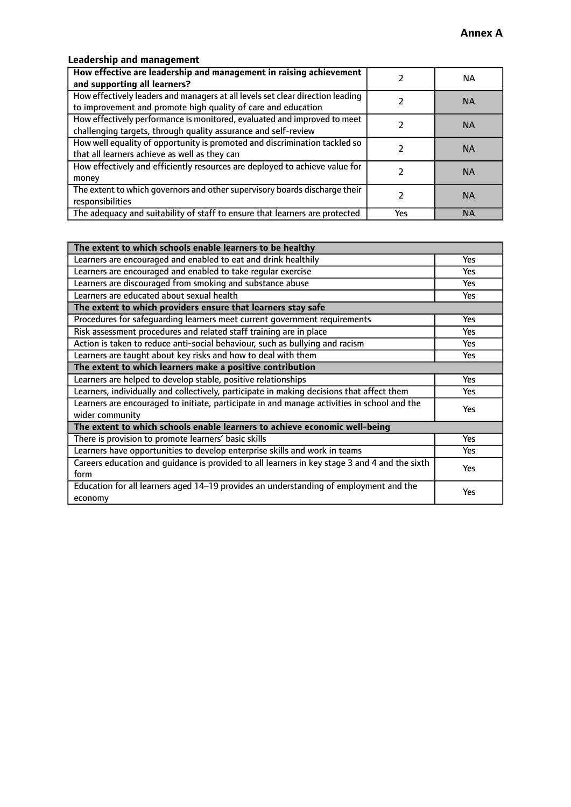# **Leadership and management**

| How effective are leadership and management in raising achievement<br>and supporting all learners?                                              |     | NА        |
|-------------------------------------------------------------------------------------------------------------------------------------------------|-----|-----------|
| How effectively leaders and managers at all levels set clear direction leading<br>to improvement and promote high quality of care and education |     | <b>NA</b> |
| How effectively performance is monitored, evaluated and improved to meet<br>challenging targets, through quality assurance and self-review      |     | <b>NA</b> |
| How well equality of opportunity is promoted and discrimination tackled so<br>that all learners achieve as well as they can                     |     | <b>NA</b> |
| How effectively and efficiently resources are deployed to achieve value for<br>money                                                            |     | <b>NA</b> |
| The extent to which governors and other supervisory boards discharge their<br>responsibilities                                                  |     | <b>NA</b> |
| The adequacy and suitability of staff to ensure that learners are protected                                                                     | Yes | <b>NA</b> |

| The extent to which schools enable learners to be healthy                                     |            |
|-----------------------------------------------------------------------------------------------|------------|
| Learners are encouraged and enabled to eat and drink healthily                                | Yes        |
| Learners are encouraged and enabled to take regular exercise                                  | <b>Yes</b> |
| Learners are discouraged from smoking and substance abuse                                     | Yes        |
| Learners are educated about sexual health                                                     | Yes        |
| The extent to which providers ensure that learners stay safe                                  |            |
| Procedures for safequarding learners meet current government requirements                     | Yes        |
| Risk assessment procedures and related staff training are in place                            | <b>Yes</b> |
| Action is taken to reduce anti-social behaviour, such as bullying and racism                  | <b>Yes</b> |
| Learners are taught about key risks and how to deal with them                                 | Yes        |
| The extent to which learners make a positive contribution                                     |            |
| Learners are helped to develop stable, positive relationships                                 | Yes        |
| Learners, individually and collectively, participate in making decisions that affect them     | Yes        |
| Learners are encouraged to initiate, participate in and manage activities in school and the   | <b>Yes</b> |
| wider community                                                                               |            |
| The extent to which schools enable learners to achieve economic well-being                    |            |
| There is provision to promote learners' basic skills                                          | Yes        |
| Learners have opportunities to develop enterprise skills and work in teams                    | Yes        |
| Careers education and guidance is provided to all learners in key stage 3 and 4 and the sixth | Yes        |
| form                                                                                          |            |
| Education for all learners aged 14-19 provides an understanding of employment and the         | <b>Yes</b> |
| economy                                                                                       |            |